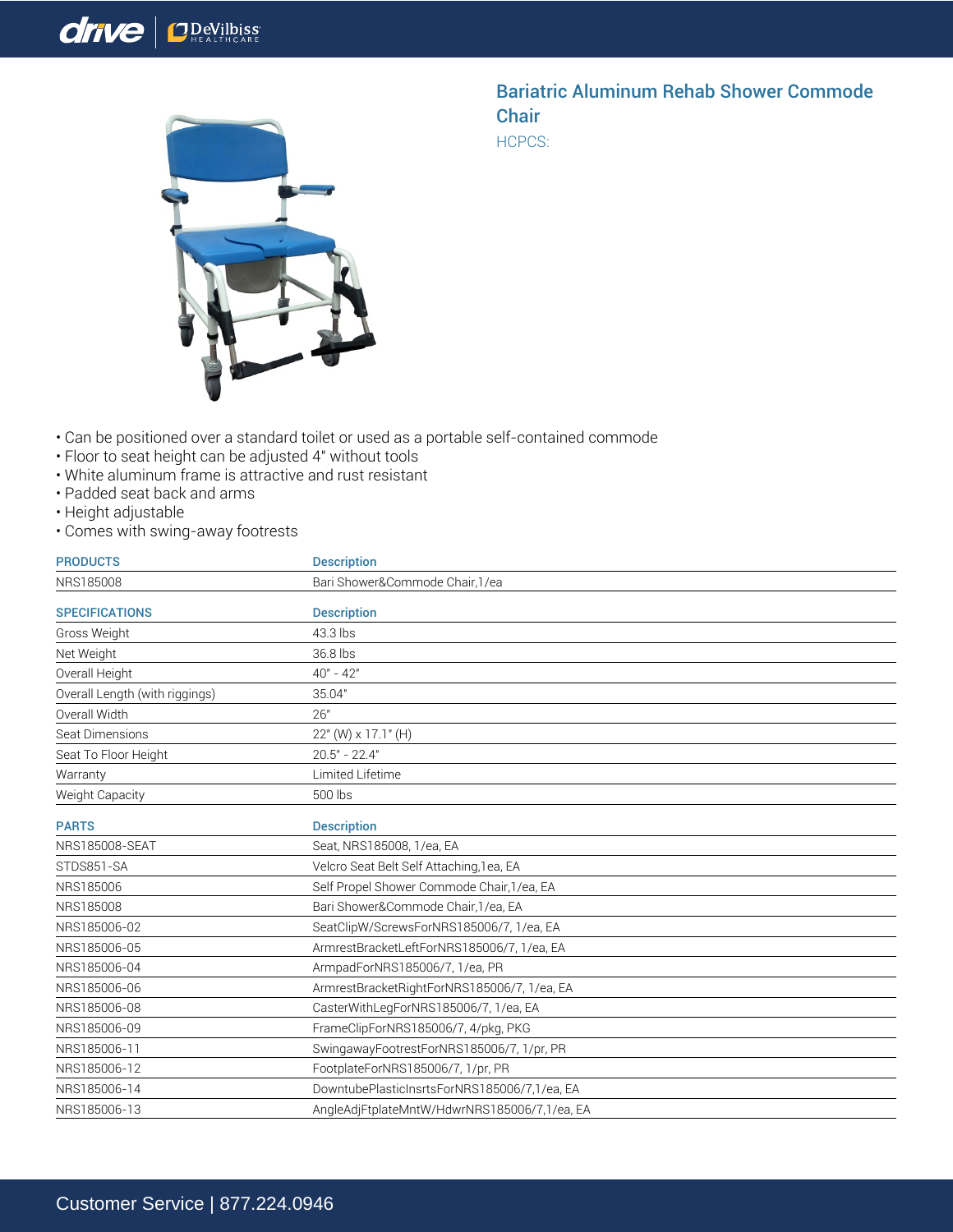## drive *ODeVilbiss*



## Bariatric Aluminum Rehab Shower Commode **Chair**

HCPCS:

- Can be positioned over a standard toilet or used as a portable self-contained commode
- Floor to seat height can be adjusted 4" without tools
- White aluminum frame is attractive and rust resistant
- Padded seat back and arms
- Height adjustable
- Comes with swing-away footrests

| <b>PRODUCTS</b>                | <b>Description</b>                           |
|--------------------------------|----------------------------------------------|
| NRS185008                      | Bari Shower&Commode Chair, 1/ea              |
| <b>SPECIFICATIONS</b>          | <b>Description</b>                           |
| Gross Weight                   | 43.3 lbs                                     |
| Net Weight                     | 36.8 lbs                                     |
| Overall Height                 | $40" - 42"$                                  |
| Overall Length (with riggings) | 35.04"                                       |
| Overall Width                  | 26"                                          |
| Seat Dimensions                | 22" (W) x 17.1" (H)                          |
| Seat To Floor Height           | $20.5" - 22.4"$                              |
| Warranty                       | Limited Lifetime                             |
| Weight Capacity                | 500 lbs                                      |
| <b>PARTS</b>                   | <b>Description</b>                           |
| NRS185008-SEAT                 | Seat, NRS185008, 1/ea, EA                    |
| STDS851-SA                     | Velcro Seat Belt Self Attaching, 1 ea, EA    |
| NRS185006                      | Self Propel Shower Commode Chair, 1/ea, EA   |
| NRS185008                      | Bari Shower&Commode Chair, 1/ea, EA          |
| NRS185006-02                   | SeatClipW/ScrewsForNRS185006/7, 1/ea, EA     |
| NRS185006-05                   | ArmrestBracketLeftForNRS185006/7, 1/ea, EA   |
| NRS185006-04                   | ArmpadForNRS185006/7, 1/ea, PR               |
| NRS185006-06                   | ArmrestBracketRightForNRS185006/7, 1/ea, EA  |
| NRS185006-08                   | CasterWithLegForNRS185006/7, 1/ea, EA        |
| NRS185006-09                   | FrameClipForNRS185006/7, 4/pkg, PKG          |
| NRS185006-11                   | SwingawayFootrestForNRS185006/7, 1/pr, PR    |
| NRS185006-12                   | FootplateForNRS185006/7, 1/pr, PR            |
| NRS185006-14                   | DowntubePlasticInsrtsForNRS185006/7,1/ea, EA |
| NRS185006-13                   | AngleAdjFtplateMntW/HdwrNRS185006/7,1/ea, EA |